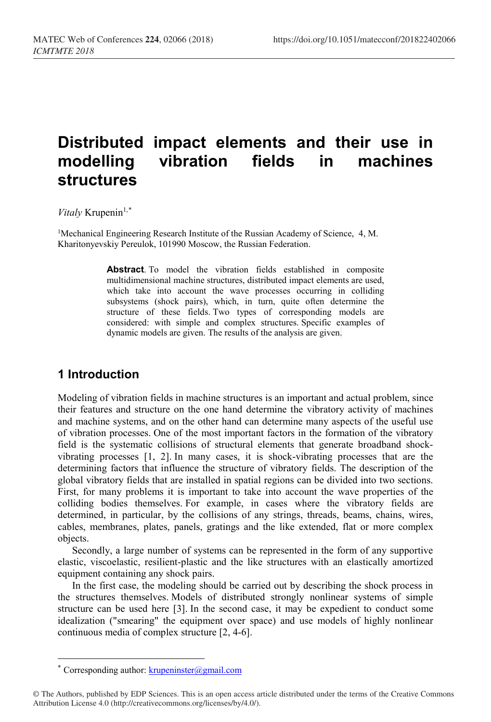# **Distributed impact elements and their use in modelling vibration fields in machines structures**

*Vitaly* Krupenin<sup>1,[\\*](#page-0-0)</sup>

<sup>1</sup>Mechanical Engineering Research Institute of the Russian Academy of Science, 4, M. Kharitonyevskiy Pereulok, 101990 Moscow, the Russian Federation.

> **Abstract**. To model the vibration fields established in composite multidimensional machine structures, distributed impact elements are used, which take into account the wave processes occurring in colliding subsystems (shock pairs), which, in turn, quite often determine the structure of these fields. Two types of corresponding models are considered: with simple and complex structures. Specific examples of dynamic models are given. The results of the analysis are given.

# **1 Introduction**

Modeling of vibration fields in machine structures is an important and actual problem, since their features and structure on the one hand determine the vibratory activity of machines and machine systems, and on the other hand can determine many aspects of the useful use of vibration processes. One of the most important factors in the formation of the vibratory field is the systematic collisions of structural elements that generate broadband shockvibrating processes [1, 2]. In many cases, it is shock-vibrating processes that are the determining factors that influence the structure of vibratory fields. The description of the global vibratory fields that are installed in spatial regions can be divided into two sections. First, for many problems it is important to take into account the wave properties of the colliding bodies themselves. For example, in cases where the vibratory fields are determined, in particular, by the collisions of any strings, threads, beams, chains, wires, cables, membranes, plates, panels, gratings and the like extended, flat or more complex objects.

Secondly, a large number of systems can be represented in the form of any supportive elastic, viscoelastic, resilient-plastic and the like structures with an elastically amortized equipment containing any shock pairs.

In the first case, the modeling should be carried out by describing the shock process in the structures themselves. Models of distributed strongly nonlinear systems of simple structure can be used here [3]. In the second case, it may be expedient to conduct some idealization ("smearing" the equipment over space) and use models of highly nonlinear continuous media of complex structure [2, 4-6].

 $\overline{\phantom{a}}$ 

<sup>\*</sup> Corresponding author: [krupeninster@gmail.com](mailto:krupeninster@gmail.com)

<span id="page-0-0"></span><sup>©</sup> The Authors, published by EDP Sciences. This is an open access article distributed under the terms of the Creative Commons Attribution License 4.0 (http://creativecommons.org/licenses/by/4.0/).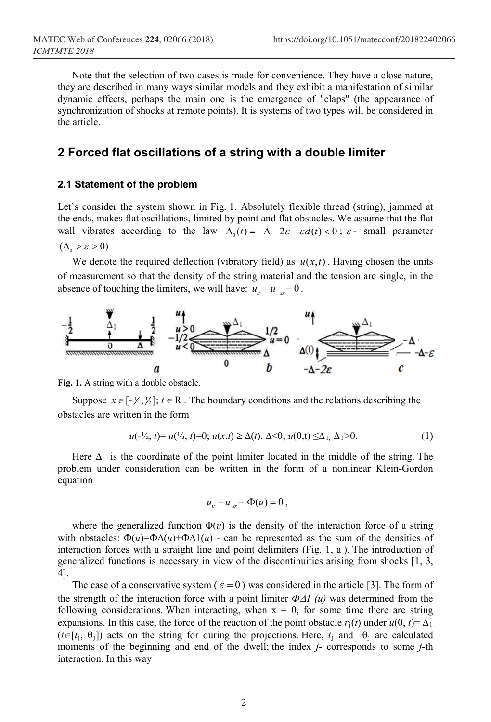Note that the selection of two cases is made for convenience. They have a close nature, they are described in many ways similar models and they exhibit a manifestation of similar dynamic effects, perhaps the main one is the emergence of "claps" (the appearance of synchronization of shocks at remote points). It is systems of two types will be considered in the article.

# **2 Forced flat oscillations of a string with a double limiter**

#### **2.1 Statement of the problem**

Let's consider the system shown in Fig. 1. Absolutely flexible thread (string), jammed at the ends, makes flat oscillations, limited by point and flat obstacles. We assume that the flat wall vibrates according to the law  $\Delta_0(t) = -\Delta - 2\varepsilon - \varepsilon d(t) < 0$ ;  $\varepsilon$ - small parameter  $(\Delta_{0} > \varepsilon > 0)$ 

We denote the required deflection (vibratory field) as  $u(x,t)$ . Having chosen the units of measurement so that the density of the string material and the tension are single, in the absence of touching the limiters, we will have:  $u_{tt} - u_{xx} = 0$ .



**Fig. 1.** A string with a double obstacle.

Suppose  $x \in [-\frac{1}{2}, \frac{1}{2}]$ ;  $t \in \mathbb{R}$ . The boundary conditions and the relations describing the obstacles are written in the form

$$
u(-\frac{1}{2}, t) = u(\frac{1}{2}, t) = 0; u(x, t) \ge \Delta(t), \Delta < 0; u(0, t) \le \Delta_1, \Delta_1 > 0.
$$
 (1)

Here  $\Delta_1$  is the coordinate of the point limiter located in the middle of the string. The problem under consideration can be written in the form of a nonlinear Klein-Gordon equation

$$
u_{u}-u_{xx}-\Phi(u)=0,
$$

where the generalized function  $\Phi(u)$  is the density of the interaction force of a string with obstacles:  $\Phi(u) = \Phi \Delta(u) + \Phi \Delta(1(u))$  - can be represented as the sum of the densities of interaction forces with a straight line and point delimiters (Fig. 1, a ). The introduction of generalized functions is necessary in view of the discontinuities arising from shocks [1, 3, 4].

The case of a conservative system ( $\varepsilon = 0$ ) was considered in the article [3]. The form of the strength of the interaction force with a point limiter  $\Phi\Delta l$  (u) was determined from the following considerations. When interacting, when  $x = 0$ , for some time there are string expansions. In this case, the force of the reaction of the point obstacle  $r_i(t)$  under  $u(0, t) = \Delta_1$  $(t \in [t_i, \theta_i])$  acts on the string for during the projections. Here,  $t_i$  and  $\theta_i$  are calculated moments of the beginning and end of the dwell; the index *j*- corresponds to some *j*-th interaction. In this way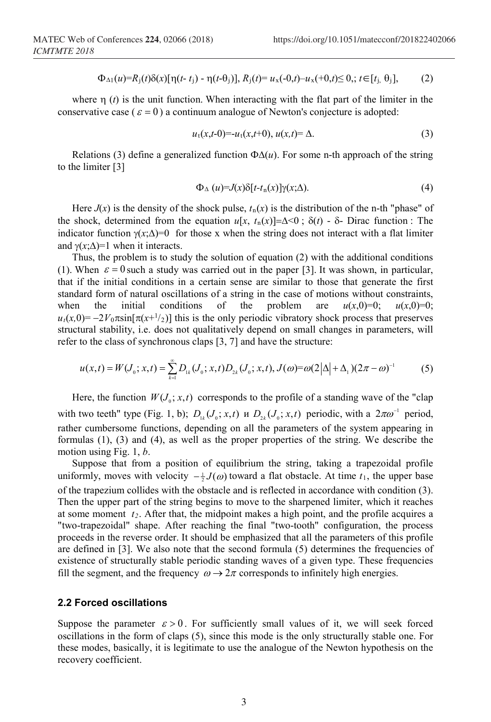$$
\Phi_{\Delta 1}(u) = R_j(t)\delta(x)[\eta(t-t_j) - \eta(t-\theta_j)], \ R_j(t) = u_x(-0,t) - u_x(+0,t) \le 0, \ t \in [t_j, \theta_j], \tag{2}
$$

where  $\eta$  (*t*) is the unit function. When interacting with the flat part of the limiter in the conservative case ( $\varepsilon = 0$ ) a continuum analogue of Newton's conjecture is adopted:

$$
u_t(x,t-0) = u_t(x,t+0), \ u(x,t) = \Delta.
$$
 (3)

Relations (3) define a generalized function  $\Phi\Delta(u)$ . For some n-th approach of the string to the limiter [3]

$$
\Phi_{\Delta}(u)=J(x)\delta[t-t_{n}(x)]\gamma(x;\Delta).
$$
\n(4)

Here  $J(x)$  is the density of the shock pulse,  $t_n(x)$  is the distribution of the n-th "phase" of the shock, determined from the equation  $u[x, t_n(x)] = \Delta \le 0$ ;  $\delta(t)$  -  $\delta$ - Dirac function: The indicator function  $\gamma(x;\Delta)=0$  for those x when the string does not interact with a flat limiter and  $\gamma(x;\Delta)=1$  when it interacts.

Thus, the problem is to study the solution of equation (2) with the additional conditions (1). When  $\varepsilon = 0$  such a study was carried out in the paper [3]. It was shown, in particular, that if the initial conditions in a certain sense are similar to those that generate the first standard form of natural oscillations of a string in the case of motions without constraints, when the initial conditions of the problem are  $u(x,0)=0$ ;  $u(x,0)=0$ ;  $u_t(x,0) = -2V_0 \pi \sin[\pi(x+1/2)]$  this is the only periodic vibratory shock process that preserves structural stability, i.e. does not qualitatively depend on small changes in parameters, will refer to the class of synchronous claps [3, 7] and have the structure:

$$
u(x,t) = W(J_0; x,t) = \sum_{k=1}^{\infty} D_{1k}(J_0; x,t) D_{2k}(J_0; x,t), J(\omega) = \omega(2|\Delta| + \Delta_1)(2\pi - \omega)^{-1}
$$
(5)

Here, the function  $W(J_0; x, t)$  corresponds to the profile of a standing wave of the "clap with two teeth" type (Fig. 1, b);  $D_{\mu} (J_0; x, t)$  *u*  $D_{\mu} (J_0; x, t)$  periodic, with a  $2\pi \omega^{-1}$  period, rather cumbersome functions, depending on all the parameters of the system appearing in formulas (1), (3) and (4), as well as the proper properties of the string. We describe the motion using Fig. 1, *b*.

Suppose that from a position of equilibrium the string, taking a trapezoidal profile uniformly, moves with velocity  $-\frac{1}{2} J(\omega)$  toward a flat obstacle. At time  $t_1$ , the upper base of the trapezium collides with the obstacle and is reflected in accordance with condition (3). Then the upper part of the string begins to move to the sharpened limiter, which it reaches at some moment  $t_2$ . After that, the midpoint makes a high point, and the profile acquires a "two-trapezoidal" shape. After reaching the final "two-tooth" configuration, the process proceeds in the reverse order. It should be emphasized that all the parameters of this profile are defined in [3]. We also note that the second formula (5) determines the frequencies of existence of structurally stable periodic standing waves of a given type. These frequencies fill the segment, and the frequency  $\omega \rightarrow 2\pi$  corresponds to infinitely high energies.

#### **2.2 Forced oscillations**

Suppose the parameter  $\varepsilon > 0$ . For sufficiently small values of it, we will seek forced oscillations in the form of claps (5), since this mode is the only structurally stable one. For these modes, basically, it is legitimate to use the analogue of the Newton hypothesis on the recovery coefficient.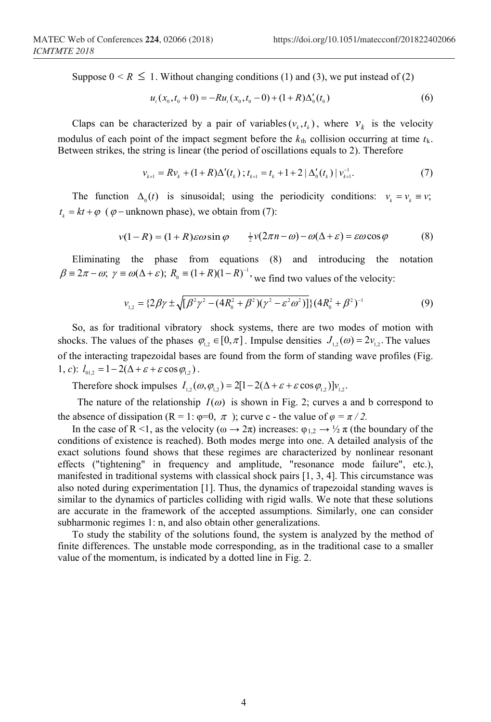Suppose  $0 \le R \le 1$ . Without changing conditions (1) and (3), we put instead of (2)

$$
u_{t}(x_{0},t_{0}+0) = -Ru_{t}(x_{0},t_{0}-0) + (1+R)\Delta_{0}'(t_{0})
$$
\n<sup>(6)</sup>

Claps can be characterized by a pair of variables( $v_k$ , $t_k$ ), where  $v_k$  is the velocity modulus of each point of the impact segment before the  $k_{\text{th}}$  collision occurring at time  $t_k$ . Between strikes, the string is linear (the period of oscillations equals to 2). Therefore

$$
v_{k+1} = R v_k + (1 + R) \Delta'(t_k) \; ; \; t_{k+1} = t_k + 1 + 2 \, | \, \Delta'_0(t_k) \, | \, v_{k+1}^{-1} \,. \tag{7}
$$

The function  $\Delta_0(t)$  is sinusoidal; using the periodicity conditions:  $v_k = v_k \equiv v$ ;  $t<sub>k</sub> = kt + \varphi$  ( $\varphi$  – unknown phase), we obtain from (7):

$$
v(1-R) = (1+R)\varepsilon\omega\sin\varphi \qquad \frac{1}{2}v(2\pi n - \omega) - \omega(\Delta + \varepsilon) = \varepsilon\omega\cos\varphi \tag{8}
$$

Eliminating the phase from equations (8) and introducing the notation  $\beta = 2\pi - \omega$ ;  $\gamma = \omega(\Delta + \varepsilon)$ ;  $R_0 = (1 + R)(1 - R)^{-1}$ , we find two values of the velocity:

$$
v_{1,2} = \{2\beta\gamma \pm \sqrt{[\beta^2\gamma^2 - (4R_0^2 + \beta^2)(\gamma^2 - \varepsilon^2\omega^2)]}\} (4R_0^2 + \beta^2)^{-1}
$$
(9)

So, as for traditional vibratory shock systems, there are two modes of motion with shocks. The values of the phases  $\varphi_{12} \in [0, \pi]$ . Impulse densities  $J_{12}(\omega) = 2v_{12}$ . The values of the interacting trapezoidal bases are found from the form of standing wave profiles (Fig. 1, *c*):  $l_{01,2} = 1 - 2(\Delta + \varepsilon + \varepsilon \cos \varphi_{1,2})$ .

Therefore shock impulses  $I_{12}(\omega,\varphi_{12}) = 2[1-2(\Delta+\varepsilon+\varepsilon\cos\varphi_{12})]v_{12}$ .

The nature of the relationship  $I(\omega)$  is shown in Fig. 2; curves a and b correspond to the absence of dissipation (R = 1:  $\varphi=0$ ,  $\pi$ ); curve c - the value of  $\varphi = \pi/2$ .

In the case of R <1, as the velocity ( $\omega \rightarrow 2\pi$ ) increases:  $\varphi_{1,2} \rightarrow \frac{1}{2}\pi$  (the boundary of the conditions of existence is reached). Both modes merge into one. A detailed analysis of the exact solutions found shows that these regimes are characterized by nonlinear resonant effects ("tightening" in frequency and amplitude, "resonance mode failure", etc.), manifested in traditional systems with classical shock pairs [1, 3, 4]. This circumstance was also noted during experimentation [1]. Thus, the dynamics of trapezoidal standing waves is similar to the dynamics of particles colliding with rigid walls. We note that these solutions are accurate in the framework of the accepted assumptions. Similarly, one can consider subharmonic regimes 1: n, and also obtain other generalizations.

To study the stability of the solutions found, the system is analyzed by the method of finite differences. The unstable mode corresponding, as in the traditional case to a smaller value of the momentum, is indicated by a dotted line in Fig. 2.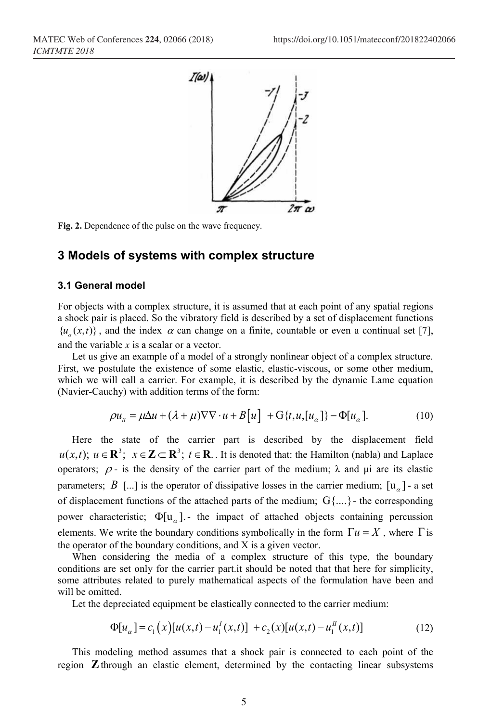

**Fig. 2.** Dependence of the pulse on the wave frequency.

### **3 Models of systems with complex structure**

#### **3.1 General model**

For objects with a complex structure, it is assumed that at each point of any spatial regions a shock pair is placed. So the vibratory field is described by a set of displacement functions  ${u<sub>x</sub>(x,t)}$ , and the index  $\alpha$  can change on a finite, countable or even a continual set [7], and the variable *x* is a scalar or a vector.

Let us give an example of a model of a strongly nonlinear object of a complex structure. First, we postulate the existence of some elastic, elastic-viscous, or some other medium, which we will call a carrier. For example, it is described by the dynamic Lame equation (Navier-Cauchy) with addition terms of the form:

$$
\rho u_{tt} = \mu \Delta u + (\lambda + \mu) \nabla \nabla \cdot u + B[u] + G\{t, u, [u_{\alpha}]\} - \Phi[u_{\alpha}].
$$
 (10)

Here the state of the carrier part is described by the displacement field  $u(x,t)$ ;  $u \in \mathbb{R}^3$ ;  $x \in \mathbb{Z} \subset \mathbb{R}^3$ ;  $t \in \mathbb{R}$ . It is denoted that: the Hamilton (nabla) and Laplace operators;  $\rho$  - is the density of the carrier part of the medium;  $\lambda$  and  $\mu$ i are its elastic parameters; *B* [...] is the operator of dissipative losses in the carrier medium;  $[u_{\alpha}]$  - a set of displacement functions of the attached parts of the medium;  $G\{... \}$  - the corresponding power characteristic;  $\Phi[u_{\alpha}]$ . the impact of attached objects containing percussion elements. We write the boundary conditions symbolically in the form  $\Gamma u = X$ , where  $\Gamma$  is the operator of the boundary conditions, and X is a given vector.

When considering the media of a complex structure of this type, the boundary conditions are set only for the carrier part.it should be noted that that here for simplicity, some attributes related to purely mathematical aspects of the formulation have been and will be omitted.

Let the depreciated equipment be elastically connected to the carrier medium:

$$
\Phi[u_{\alpha}] = c_1(x)[u(x,t) - u_1'(x,t)] + c_2(x)[u(x,t) - u_1''(x,t)] \tag{12}
$$

This modeling method assumes that a shock pair is connected to each point of the region **Ζ**through an elastic element, determined by the contacting linear subsystems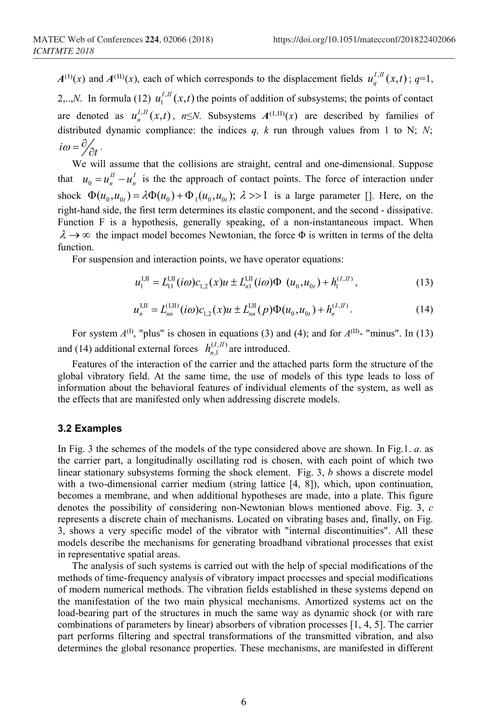$A^{(1)}(x)$  and  $A^{(11)}(x)$ , each of which corresponds to the displacement fields  $u_q^{I,II}(x,t)$ ;  $q=1$ , 2,..,*N*. In formula (12)  $u_1^{I,H}(x,t)$  the points of addition of subsystems; the points of contact are denoted as  $u_n^{I,H}(x,t)$ ,  $n \le N$ . Subsystems  $A^{(I,H)}(x)$  are described by families of distributed dynamic compliance: the indices  $q$ ,  $k$  run through values from 1 to N;  $N$ ;  $i\omega = \frac{\partial}{\partial t}$ .

We will assume that the collisions are straight, central and one-dimensional. Suppose that  $u_0 = u_n^I - u_n^I$  is the the approach of contact points. The force of interaction under shock  $\Phi(u_0, u_{0t}) = \lambda \Phi(u_0) + \Phi_1(u_0, u_{0t})$ ;  $\lambda >> 1$  is a large parameter []. Here, on the right-hand side, the first term determines its elastic component, and the second - dissipative. Function F is a hypothesis, generally speaking, of a non-instantaneous impact. When  $\lambda \rightarrow \infty$  the impact model becomes Newtonian, the force  $\Phi$  is written in terms of the delta function.

For suspension and interaction points, we have operator equations:

$$
u_1^{\text{LII}} = L_{11}^{\text{LII}}(i\omega)c_{1,2}(x)u \pm L_{n1}^{\text{LII}}(i\omega)\Phi(u_0, u_{0t}) + h_1^{(I,II)}, \qquad (13)
$$

$$
u_n^{\text{LII}} = L_{nn}^{(\text{LII})}(i\omega)c_{1,2}(x)u \pm L_{nn}^{\text{LII}}(p)\Phi(u_0, u_{0t}) + h_n^{(I,II)}.
$$
 (14)

For system  $A^{(1)}$ , "plus" is chosen in equations (3) and (4); and for  $A^{(II)}$ - "minus". In (13) and (14) additional external forces  $h_{n,1}^{(I,I,I)}$  $h_{n,1}^{(I,II)}$  are introduced.

Features of the interaction of the carrier and the attached parts form the structure of the global vibratory field. At the same time, the use of models of this type leads to loss of information about the behavioral features of individual elements of the system, as well as the effects that are manifested only when addressing discrete models.

#### **3.2 Examples**

In Fig. 3 the schemes of the models of the type considered above are shown. In Fig.1. *a*. as the carrier part, a longitudinally oscillating rod is chosen, with each point of which two linear stationary subsystems forming the shock element. Fig. 3, *b* shows a discrete model with a two-dimensional carrier medium (string lattice [4, 8]), which, upon continuation, becomes a membrane, and when additional hypotheses are made, into a plate. This figure denotes the possibility of considering non-Newtonian blows mentioned above. Fig. 3, *c* represents a discrete chain of mechanisms. Located on vibrating bases and, finally, on Fig. 3, shows a very specific model of the vibrator with "internal discontinuities". All these models describe the mechanisms for generating broadband vibrational processes that exist in representative spatial areas.

The analysis of such systems is carried out with the help of special modifications of the methods of time-frequency analysis of vibratory impact processes and special modifications of modern numerical methods. The vibration fields established in these systems depend on the manifestation of the two main physical mechanisms. Amortized systems act on the load-bearing part of the structures in much the same way as dynamic shock (or with rare combinations of parameters by linear) absorbers of vibration processes [1, 4, 5]. The carrier part performs filtering and spectral transformations of the transmitted vibration, and also determines the global resonance properties. These mechanisms, are manifested in different